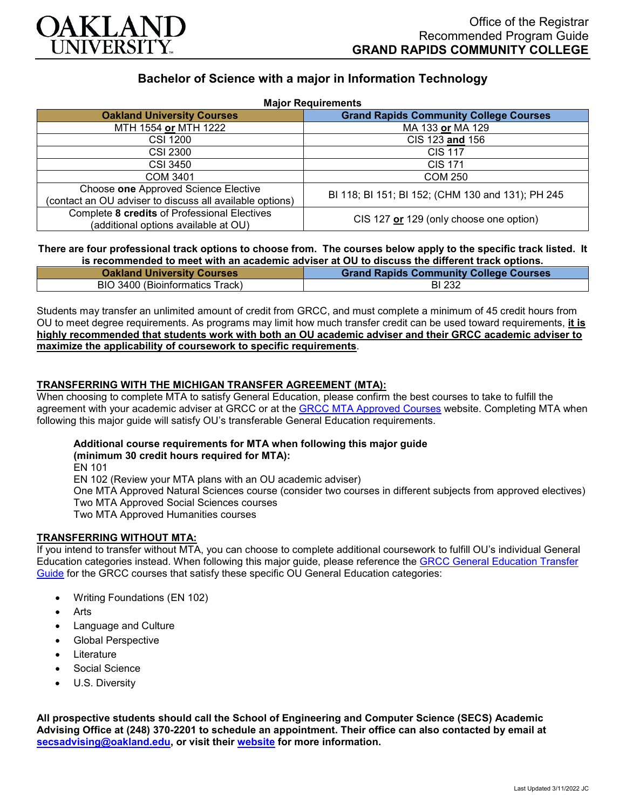

# **Bachelor of Science with a major in Information Technology**

| <b>Major Requirements</b>                                                                        |                                                   |
|--------------------------------------------------------------------------------------------------|---------------------------------------------------|
| <b>Oakland University Courses</b>                                                                | <b>Grand Rapids Community College Courses</b>     |
| MTH 1554 or MTH 1222                                                                             | MA 133 or MA 129                                  |
| <b>CSI 1200</b>                                                                                  | CIS 123 and 156                                   |
| CSI 2300                                                                                         | <b>CIS 117</b>                                    |
| CSI 3450                                                                                         | <b>CIS 171</b>                                    |
| <b>COM 3401</b>                                                                                  | <b>COM 250</b>                                    |
| Choose one Approved Science Elective<br>(contact an OU adviser to discuss all available options) | BI 118; BI 151; BI 152; (CHM 130 and 131); PH 245 |
| Complete 8 credits of Professional Electives<br>(additional options available at OU)             | CIS 127 or 129 (only choose one option)           |

### **There are four professional track options to choose from. The courses below apply to the specific track listed. It is recommended to meet with an academic adviser at OU to discuss the different track options.**

| <b>Oakland University Courses</b> | <b>Grand Rapids Community College Courses</b> |
|-----------------------------------|-----------------------------------------------|
| BIO 3400 (Bioinformatics Track)   | <b>BI 232</b>                                 |

Students may transfer an unlimited amount of credit from GRCC, and must complete a minimum of 45 credit hours from OU to meet degree requirements. As programs may limit how much transfer credit can be used toward requirements, **it is highly recommended that students work with both an OU academic adviser and their GRCC academic adviser to maximize the applicability of coursework to specific requirements**.

# **TRANSFERRING WITH THE MICHIGAN TRANSFER AGREEMENT (MTA):**

When choosing to complete MTA to satisfy General Education, please confirm the best courses to take to fulfill the agreement with your academic adviser at GRCC or at the [GRCC MTA Approved Courses](https://catalog.grcc.edu/content.php?catoid=47&navoid=3607) website. Completing MTA when following this major guide will satisfy OU's transferable General Education requirements.

#### **Additional course requirements for MTA when following this major guide (minimum 30 credit hours required for MTA):**

EN 101

EN 102 (Review your MTA plans with an OU academic adviser) One MTA Approved Natural Sciences course (consider two courses in different subjects from approved electives) Two MTA Approved Social Sciences courses Two MTA Approved Humanities courses

## **TRANSFERRING WITHOUT MTA:**

If you intend to transfer without MTA, you can choose to complete additional coursework to fulfill OU's individual General Education categories instead. When following this major guide, please reference the [GRCC General Education Transfer](https://www.oakland.edu/Assets/Oakland/program-guides/grand-rapids-community-college/university-general-education-requirements/Grand%20Rapids%20Gen%20Ed.pdf)  [Guide](https://www.oakland.edu/Assets/Oakland/program-guides/grand-rapids-community-college/university-general-education-requirements/Grand%20Rapids%20Gen%20Ed.pdf) for the GRCC courses that satisfy these specific OU General Education categories:

- Writing Foundations (EN 102)
- **Arts**
- Language and Culture
- Global Perspective
- **Literature**
- Social Science
- U.S. Diversity

**All prospective students should call the School of Engineering and Computer Science (SECS) Academic Advising Office at (248) 370-2201 to schedule an appointment. Their office can also contacted by email at [secsadvising@oakland.edu,](mailto:secsadvising@oakland.edu) or visit their [website](https://wwwp.oakland.edu/secs/advising/) for more information.**